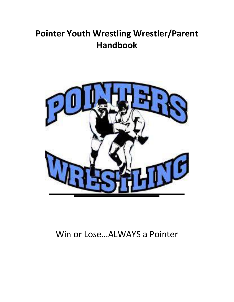# **Pointer Youth Wrestling Wrestler/Parent Handbook**



# Win or Lose…ALWAYS a Pointer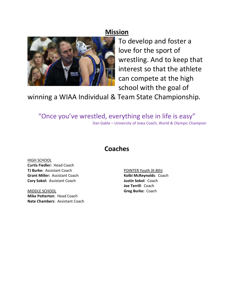## **Mission**



To develop and foster a love for the sport of wrestling. And to keep that interest so that the athlete can compete at the high school with the goal of

winning a WIAA Individual & Team State Championship.

"Once you've wrestled, everything else in life is easy" Dan Gable – University of Iowa Coach, World & Olympic Champion

### **Coaches**

HIGH SCHOOL **Curtis Fiedler:** Head Coach **TJ Burke:** Assistant Coach **Grant Miller:** Assistant Coach **Cory Sokol:** Assistant Coach

MIDDLE SCHOOL **Mike Potterton**: Head Coach **Nate Chambers**: Assistant Coach

POINTER Youth (K‐8th) **Kolbi McReynolds**: Coach **Justin Sokol**: Coach **Joe Terrill**: Coach **Greg Burke:** Coach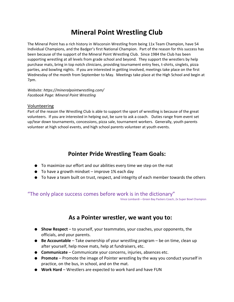## **Mineral Point Wrestling Club**

The Mineral Point has a rich history in Wisconsin Wrestling from being 11x Team Champion, have 54 Individual Champions, and the Badger's first National Champion. Part of the reason for this success has been because of the support of the Mineral Point Wrestling Club. Since 1984 the Club has been supporting wrestling at all levels from grade school and beyond. They support the wrestlers by help purchase mats, bring in top notch clinicians, providing tournament entry fees, t‐shirts, singlets, pizza parties, and bowling nights. If you are interested in getting involved, meetings take place on the first Wednesday of the month from September to May. Meetings take place at the High School and begin at 7pm.

*Website: https://mineralpointwrestling.com/ Facebook Page: Mineral Point Wrestling*

#### Volunteering

Part of the reason the Wrestling Club is able to support the sport of wrestling is because of the great volunteers. If you are interested in helping out, be sure to ask a coach. Duties range from event set up/tear down tournaments, concessions, pizza sale, tournament workers. Generally, youth parents volunteer at high school events, and high school parents volunteer at youth events.

## **Pointer Pride Wrestling Team Goals:**

- To maximize our effort and our abilities every time we step on the mat
- $\bullet$  To have a growth mindset improve 1% each day
- To have a team built on trust, respect, and integrity of each member towards the others

### "The only place success comes before work is in the dictionary"

Vince Lombardi – Green Bay Packers Coach, 2x Super Bowl Champion

### **As a Pointer wrestler, we want you to:**

- **Show Respect** to yourself, your teammates, your coaches, your opponents, the officials, and your parents.
- **Be Accountable** Take ownership of your wrestling program be on time, clean up after yourself, help move mats, help at fundraisers, etc.
- **Communicate** Communicate your concerns, injuries, absences etc.
- **Promote** Promote the image of Pointer wrestling by the way you conduct yourself in practice, on the bus, in school, and on the mat.
- **Work Hard** Wrestlers are expected to work hard and have FUN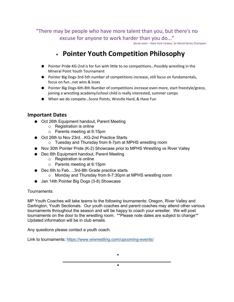"There may be people who have more talent than you, but there's no excuse for anyone to work harder than you do..."

Derek Jeter – New York Yankee, 5x World Series Champion

## • **Pointer Youth Competition Philosophy**

- Pointer Pride-KG-2nd is for fun with little to no competitions... Possibly wrestling in the Mineral Point Youth Tournament
- Pointer Big Dogs-3rd-5th number of competitions increase, still focus on fundamentals, focus on fun…not wins & loses
- Pointer Big Dogs-6th-8th Number of competitions increase even more, start freestyle/greco, joining a wrestling academy/school child is really interested, summer camps
- When we do compete...Score Points, Wrestle Hard, & Have Fun

### **Important Dates**

- Oct 26th Equipment handout, Parent Meeting
	- o Registration is online
	- o Parents meeting at 6:15pm
- Oct 26th to Nov 23rd...KG-2nd Practice Starts
	- o Tuesday and Thursday from 6-7pm at MPHS wrestling room
- Nov 30th Pointer Pride (K-2) Showcase prior to MPHS Wrestling vs River Valley
- Dec 6th Equipment handout, Parent Meeting
	- o Registration is online
	- o Parents meeting at 6:15pm
- Dec 6th to Feb....3rd-8th Grade practice starts
	- o Monday and Thursday from 6-7:30pm at MPHS wrestling room
- Jan 14th Pointer Big Dogs (3-8) Showcase

Tournaments:

MP Youth Coaches will take teams to the following tournaments: Oregon, River Valley and Darlington, Youth Sectionals. Our youth coaches and parent coaches may attend other various tournaments throughout the season and will be happy to coach your wrestler. We will post tournaments on the door to the wrestling room. \*\*Please note dates are subject to change\*\* Updated information will be in club emails.

•

•

Any questions please contact a youth coach.

Link to tournaments: https://www.wiwrestling.com/upcoming-events/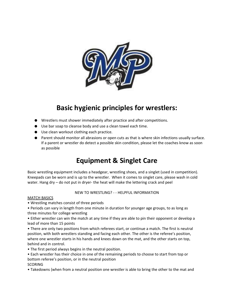

## **Basic hygienic principles for wrestlers:**

- Wrestlers must shower immediately after practice and after competitions.
- Use bar soap to cleanse body and use a clean towel each time.
- Use clean workout clothing each practice.
- Parent should monitor all abrasions or open cuts as that is where skin infections usually surface. If a parent or wrestler do detect a possible skin condition, please let the coaches know as soon as possible

## **Equipment & Singlet Care**

Basic wrestling equipment includes a headgear, wrestling shoes, and a singlet (used in competition). Kneepads can be worn and is up to the wrestler. When it comes to singlet care, please wash in cold water. Hang dry – do not put in dryer- the heat will make the lettering crack and peel

#### NEW TO WRESTLING? ‐ ‐ HELPFUL INFORMATION

#### MATCH BASICS

• Wrestling matches consist of three periods

• Periods can vary in length from one minute in duration for younger age groups, to as long as three minutes for college wrestling

• Either wrestler can win the match at any time if they are able to pin their opponent or develop a lead of more than 15 points

• There are only two positions from which referees start, or continue a match. The first is neutral position, with both wrestlers standing and facing each other. The other is the referee's position, where one wrestler starts in his hands and knees down on the mat, and the other starts on top, behind and in control.

- The first period always begins in the neutral position.
- Each wrestler has their choice in one of the remaining periods to choose to start from top or bottom referee's position, or in the neutral position **SCORING**
- Takedowns (when from a neutral position one wrestler is able to bring the other to the mat and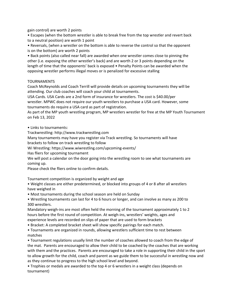gain control) are worth 2 points

• Escapes (when the bottom wrestler is able to break free from the top wrestler and revert back to a neutral position) are worth 1 point

• Reversals, (when a wrestler on the bottom is able to reverse the control so that the opponent is on the bottom) are worth 2 points

• Back points (also called near fall) are awarded when one wrestler comes close to pinning the other (i.e. exposing the other wrestler's back) and are worth 2 or 3 points depending on the length of time that the opponents' back is exposed • Penalty Points can be awarded when the opposing wrestler performs illegal moves or is penalized for excessive stalling

#### TOURNAMENTS

Coach McReynolds and Coach Terrill will provide details on upcoming tournaments they will be attending. Our club coaches will coach your child at tournaments.

USA Cards. USA Cards are a 2nd form of insurance for wrestlers. The cost is \$40.00/per

wrestler. MPWC does not require our youth wrestlers to purchase a USA card. However, some tournaments do require a USA card as part of registration.

As part of the MP youth wrestling program, MP wrestlers wrestler for free at the MP Youth Tournament on Feb 13, 2022

• Links to tournaments:

Trackwrestling: http://www.trackwrestling.com

Many tournaments may have you register via Track wrestling. So tournaments will have

brackets to follow on track wrestling to follow

Wi Wrestling: https://www.wiwrestling.com/upcoming‐events/

Has fliers for upcoming tournament

We will post a calendar on the door going into the wrestling room to see what tournaments are coming up.

Please check the fliers online to confirm details.

Tournament competition is organized by weight and age

• Weight classes are either predetermined, or blocked into groups of 4 or 8 after all wrestlers have weighed in

• Most tournaments during the school season are held on Sunday

• Wrestling tournaments can last for 4 to 6 hours or longer, and can involve as many as 200 to 300 wrestlers.

Mandatory weigh‐ins are most often held the morning of the tournament approximately 1 to 2 hours before the first round of competition. At weigh-ins, wrestlers' weights, ages and experience levels are recorded on slips of paper that are used to form brackets

• Bracket: A completed bracket sheet will show specific pairings for each match.

• Tournaments are organized in rounds, allowing wrestlers sufficient time to rest between matches

• Tournament regulations usually limit the number of coaches allowed to coach from the edge of the mat. Parents are encouraged to allow their child to be coached by the coaches that are working with them and the practices. Parents are encouraged to take a role in supporting their child in the sport to allow growth for the child, coach and parent as we guide them to be successful in wrestling now and as they continue to progress to the high school level and beyond.

• Trophies or medals are awarded to the top 4 or 6 wrestlers in a weight class (depends on tournament)